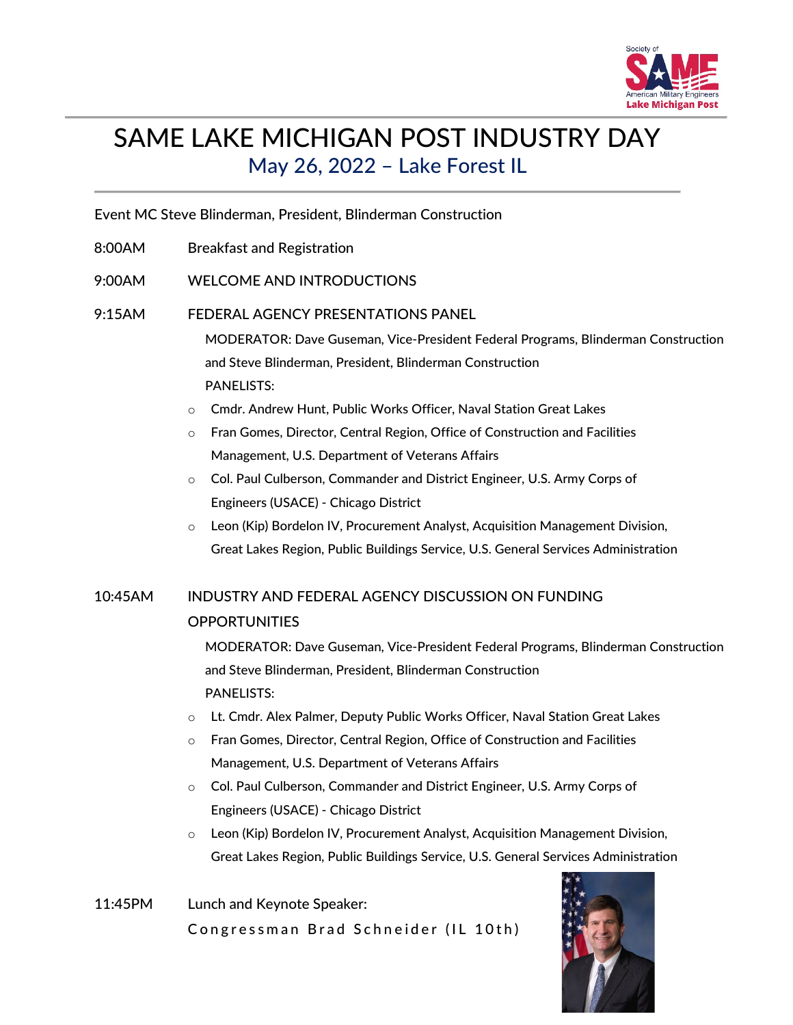

## SAME LAKE MICHIGAN POST INDUSTRY DAY May 26, 2022 – Lake Forest IL

Event MC Steve Blinderman, President, Blinderman Construction

- 8:00AM Breakfast and Registration
- 9:00AM WELCOME AND INTRODUCTIONS
- 9:15AM FEDERAL AGENCY PRESENTATIONS PANEL MODERATOR: Dave Guseman, Vice-President Federal Programs, Blinderman Construction and Steve Blinderman, President, Blinderman Construction PANELISTS:
	- o Cmdr. Andrew Hunt, Public Works Officer, Naval Station Great Lakes
	- o Fran Gomes, Director, Central Region, Office of Construction and Facilities Management, U.S. Department of Veterans Affairs
	- o Col. Paul Culberson, Commander and District Engineer, U.S. Army Corps of Engineers (USACE) - Chicago District
	- $\circ$  Leon (Kip) Bordelon IV, Procurement Analyst, Acquisition Management Division, Great Lakes Region, Public Buildings Service, U.S. General Services Administration

## 10:45AM INDUSTRY AND FEDERAL AGENCY DISCUSSION ON FUNDING **OPPORTUNITIES**

MODERATOR: Dave Guseman, Vice-President Federal Programs, Blinderman Construction and Steve Blinderman, President, Blinderman Construction PANELISTS:

- o Lt. Cmdr. Alex Palmer, Deputy Public Works Officer, Naval Station Great Lakes
- o Fran Gomes, Director, Central Region, Office of Construction and Facilities Management, U.S. Department of Veterans Affairs
- o Col. Paul Culberson, Commander and District Engineer, U.S. Army Corps of Engineers (USACE) - Chicago District
- o Leon (Kip) Bordelon IV, Procurement Analyst, Acquisition Management Division, Great Lakes Region, Public Buildings Service, U.S. General Services Administration
- 11:45PM Lunch and Keynote Speaker: Congressman Brad Schneider (IL 10th)